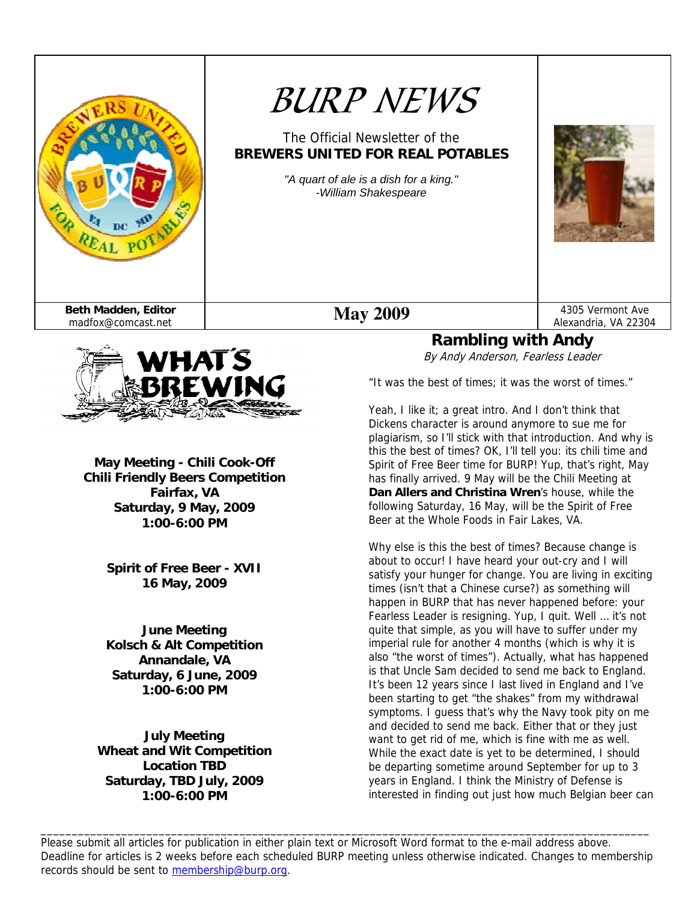

# *BURP NEWS*

The Official Newsletter of the **BREWERS UNITED FOR REAL POTABLES** 

> *"A quart of ale is a dish for a king." -William Shakespeare*





**May Meeting - Chili Cook-Off Chili Friendly Beers Competition Fairfax, VA Saturday, 9 May, 2009 1:00-6:00 PM** 

> **Spirit of Free Beer - XVII 16 May, 2009**

**June Meeting Kolsch & Alt Competition Annandale, VA Saturday, 6 June, 2009 1:00-6:00 PM** 

**July Meeting Wheat and Wit Competition Location TBD Saturday, TBD July, 2009 1:00-6:00 PM** 

#### Alexandria, VA 22304 **Rambling with Andy**

By Andy Anderson, Fearless Leader

"It was the best of times; it was the worst of times."

Yeah, I like it; a great intro. And I don't think that Dickens character is around anymore to sue me for plagiarism, so I'll stick with that introduction. And why is this the best of times? OK, I'll tell you: its chili time and Spirit of Free Beer time for BURP! Yup, that's right, May has finally arrived. 9 May will be the Chili Meeting at **Dan Allers and Christina Wren**'s house, while the following Saturday, 16 May, will be the Spirit of Free Beer at the Whole Foods in Fair Lakes, VA.

Why else is this the best of times? Because change is about to occur! I have heard your out-cry and I will satisfy your hunger for change. You are living in exciting times (isn't that a Chinese curse?) as something will happen in BURP that has never happened before: your Fearless Leader is resigning. Yup, I quit. Well … it's not quite that simple, as you will have to suffer under my imperial rule for another 4 months (which is why it is also "the worst of times"). Actually, what has happened is that Uncle Sam decided to send me back to England. It's been 12 years since I last lived in England and I've been starting to get "the shakes" from my withdrawal symptoms. I guess that's why the Navy took pity on me and decided to send me back. Either that or they just want to get rid of me, which is fine with me as well. While the exact date is yet to be determined, I should be departing sometime around September for up to 3 years in England. I think the Ministry of Defense is interested in finding out just how much Belgian beer can

Please submit all articles for publication in either plain text or Microsoft Word format to the e-mail address above. Deadline for articles is 2 weeks before each scheduled BURP meeting unless otherwise indicated. Changes to membership records should be sent to membership@burp.org.

\_\_\_\_\_\_\_\_\_\_\_\_\_\_\_\_\_\_\_\_\_\_\_\_\_\_\_\_\_\_\_\_\_\_\_\_\_\_\_\_\_\_\_\_\_\_\_\_\_\_\_\_\_\_\_\_\_\_\_\_\_\_\_\_\_\_\_\_\_\_\_\_\_\_\_\_\_\_\_\_\_\_\_\_\_\_\_\_\_\_\_\_\_\_\_\_\_\_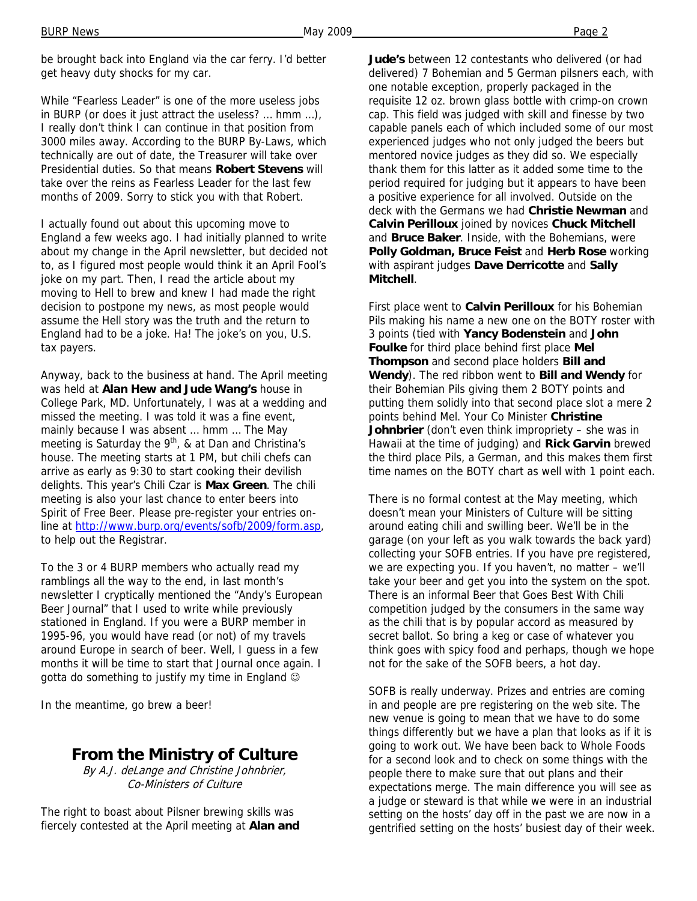be brought back into England via the car ferry. I'd better get heavy duty shocks for my car.

While "Fearless Leader" is one of the more useless jobs in BURP (or does it just attract the useless? … hmm …), I really don't think I can continue in that position from 3000 miles away. According to the BURP By-Laws, which technically are out of date, the Treasurer will take over Presidential duties. So that means **Robert Stevens** will take over the reins as Fearless Leader for the last few months of 2009. Sorry to stick you with that Robert.

I actually found out about this upcoming move to England a few weeks ago. I had initially planned to write about my change in the April newsletter, but decided not to, as I figured most people would think it an April Fool's joke on my part. Then, I read the article about my moving to Hell to brew and knew I had made the right decision to postpone my news, as most people would assume the Hell story was the truth and the return to England had to be a joke. Ha! The joke's on you, U.S. tax payers.

Anyway, back to the business at hand. The April meeting was held at **Alan Hew and Jude Wang's** house in College Park, MD. Unfortunately, I was at a wedding and missed the meeting. I was told it was a fine event, mainly because I was absent … hmm … The May meeting is Saturday the 9<sup>th</sup>, & at Dan and Christina's house. The meeting starts at 1 PM, but chili chefs can arrive as early as 9:30 to start cooking their devilish delights. This year's Chili Czar is **Max Green**. The chili meeting is also your last chance to enter beers into Spirit of Free Beer. Please pre-register your entries online at http://www.burp.org/events/sofb/2009/form.asp, to help out the Registrar.

To the 3 or 4 BURP members who actually read my ramblings all the way to the end, in last month's newsletter I cryptically mentioned the "Andy's European Beer Journal" that I used to write while previously stationed in England. If you were a BURP member in 1995-96, you would have read (or not) of my travels around Europe in search of beer. Well, I guess in a few months it will be time to start that Journal once again. I gotta do something to justify my time in England  $\odot$ 

In the meantime, go brew a beer!

## **From the Ministry of Culture**

By A.J. deLange and Christine Johnbrier, Co-Ministers of Culture

The right to boast about Pilsner brewing skills was fiercely contested at the April meeting at **Alan and**  **Jude's** between 12 contestants who delivered (or had delivered) 7 Bohemian and 5 German pilsners each, with one notable exception, properly packaged in the requisite 12 oz. brown glass bottle with crimp-on crown cap. This field was judged with skill and finesse by two capable panels each of which included some of our most experienced judges who not only judged the beers but mentored novice judges as they did so. We especially thank them for this latter as it added some time to the period required for judging but it appears to have been a positive experience for all involved. Outside on the deck with the Germans we had **Christie Newman** and **Calvin Perilloux** joined by novices **Chuck Mitchell** and **Bruce Baker**. Inside, with the Bohemians, were **Polly Goldman, Bruce Feist** and **Herb Rose** working with aspirant judges **Dave Derricotte** and **Sally Mitchell**.

First place went to **Calvin Perilloux** for his Bohemian Pils making his name a new one on the BOTY roster with 3 points (tied with **Yancy Bodenstein** and **John Foulke** for third place behind first place **Mel Thompson** and second place holders **Bill and Wendy**). The red ribbon went to **Bill and Wendy** for their Bohemian Pils giving them 2 BOTY points and putting them solidly into that second place slot a mere 2 points behind Mel. Your Co Minister **Christine Johnbrier** (don't even think impropriety – she was in Hawaii at the time of judging) and **Rick Garvin** brewed the third place Pils, a German, and this makes them first time names on the BOTY chart as well with 1 point each.

There is no formal contest at the May meeting, which doesn't mean your Ministers of Culture will be sitting around eating chili and swilling beer. We'll be in the garage (on your left as you walk towards the back yard) collecting your SOFB entries. If you have pre registered, we are expecting you. If you haven't, no matter – we'll take your beer and get you into the system on the spot. There is an informal Beer that Goes Best With Chili competition judged by the consumers in the same way as the chili that is by popular accord as measured by secret ballot. So bring a keg or case of whatever you think goes with spicy food and perhaps, though we hope not for the sake of the SOFB beers, a hot day.

SOFB is really underway. Prizes and entries are coming in and people are pre registering on the web site. The new venue is going to mean that we have to do some things differently but we have a plan that looks as if it is going to work out. We have been back to Whole Foods for a second look and to check on some things with the people there to make sure that out plans and their expectations merge. The main difference you will see as a judge or steward is that while we were in an industrial setting on the hosts' day off in the past we are now in a gentrified setting on the hosts' busiest day of their week.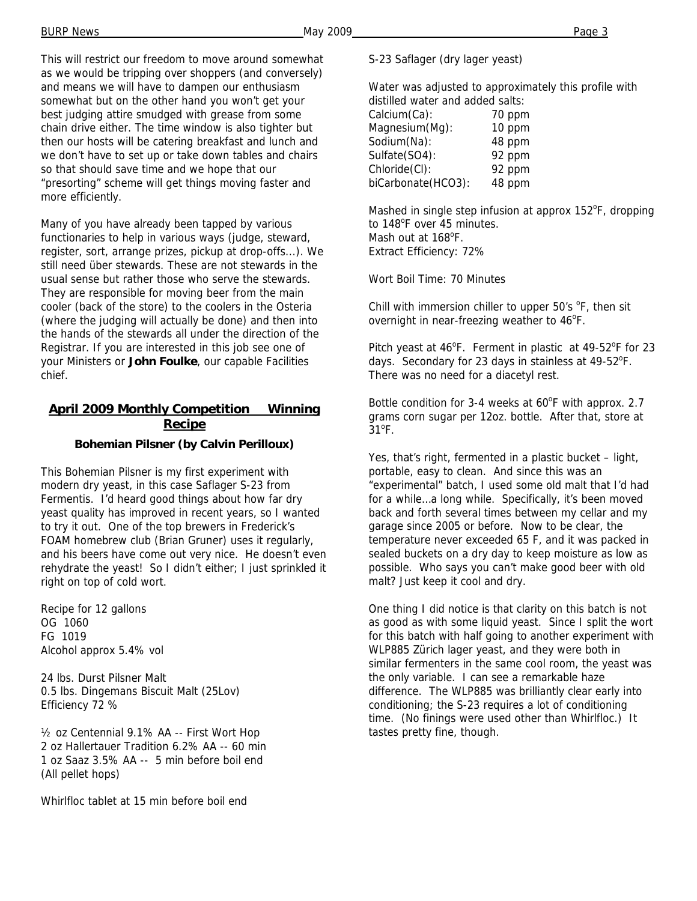This will restrict our freedom to move around somewhat as we would be tripping over shoppers (and conversely) and means we will have to dampen our enthusiasm somewhat but on the other hand you won't get your best judging attire smudged with grease from some chain drive either. The time window is also tighter but then our hosts will be catering breakfast and lunch and we don't have to set up or take down tables and chairs so that should save time and we hope that our "presorting" scheme will get things moving faster and more efficiently.

Many of you have already been tapped by various functionaries to help in various ways (judge, steward, register, sort, arrange prizes, pickup at drop-offs...). We still need über stewards. These are not stewards in the usual sense but rather those who serve the stewards. They are responsible for moving beer from the main cooler (back of the store) to the coolers in the Osteria (where the judging will actually be done) and then into the hands of the stewards all under the direction of the Registrar. If you are interested in this job see one of your Ministers or **John Foulke**, our capable Facilities chief.

#### **April 2009 Monthly Competition Winning Recipe**

#### **Bohemian Pilsner (by Calvin Perilloux)**

This Bohemian Pilsner is my first experiment with modern dry yeast, in this case Saflager S-23 from Fermentis. I'd heard good things about how far dry yeast quality has improved in recent years, so I wanted to try it out. One of the top brewers in Frederick's FOAM homebrew club (Brian Gruner) uses it regularly, and his beers have come out very nice. He doesn't even rehydrate the yeast! So I didn't either; I just sprinkled it right on top of cold wort.

Recipe for 12 gallons OG 1060 FG 1019 Alcohol approx 5.4% vol

24 lbs. Durst Pilsner Malt 0.5 lbs. Dingemans Biscuit Malt (25Lov) Efficiency 72 %

½ oz Centennial 9.1% AA -- First Wort Hop 2 oz Hallertauer Tradition 6.2% AA -- 60 min 1 oz Saaz 3.5% AA -- 5 min before boil end (All pellet hops)

Whirlfloc tablet at 15 min before boil end

#### S-23 Saflager (dry lager yeast)

Water was adjusted to approximately this profile with distilled water and added salts:

| Calcium(Ca):       | 70 ppm |  |
|--------------------|--------|--|
| Magnesium(Mg):     | 10 ppm |  |
| Sodium(Na):        | 48 ppm |  |
| Sulfate(SO4):      | 92 ppm |  |
| Chloride(CI):      | 92 ppm |  |
| biCarbonate(HCO3): | 48 ppm |  |
|                    |        |  |

Mashed in single step infusion at approx 152°F, dropping to 148°F over 45 minutes. Mash out at 168<sup>°</sup>F. Extract Efficiency: 72%

Wort Boil Time: 70 Minutes

Chill with immersion chiller to upper  $50's$  °F, then sit overnight in near-freezing weather to 46°F.

Pitch yeast at 46°F. Ferment in plastic at 49-52°F for 23 days. Secondary for 23 days in stainless at 49-52°F. There was no need for a diacetyl rest.

Bottle condition for 3-4 weeks at 60°F with approx. 2.7 grams corn sugar per 12oz. bottle. After that, store at  $31^{\circ}$ F.

Yes, that's right, fermented in a plastic bucket – light, portable, easy to clean. And since this was an "experimental" batch, I used some old malt that I'd had for a while…a long while. Specifically, it's been moved back and forth several times between my cellar and my garage since 2005 or before. Now to be clear, the temperature never exceeded 65 F, and it was packed in sealed buckets on a dry day to keep moisture as low as possible. Who says you can't make good beer with old malt? Just keep it cool and dry.

One thing I did notice is that clarity on this batch is not as good as with some liquid yeast. Since I split the wort for this batch with half going to another experiment with WLP885 Zürich lager yeast, and they were both in similar fermenters in the same cool room, the yeast was the only variable. I can see a remarkable haze difference. The WLP885 was brilliantly clear early into conditioning; the S-23 requires a lot of conditioning time. (No finings were used other than Whirlfloc.) It tastes pretty fine, though.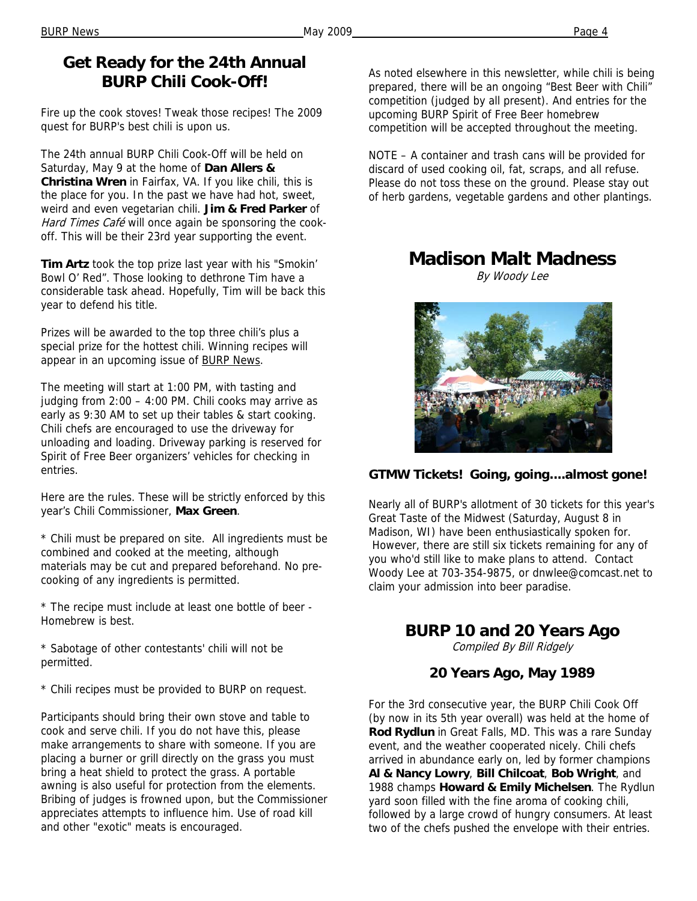# **Get Ready for the 24th Annual BURP Chili Cook-Off!**

Fire up the cook stoves! Tweak those recipes! The 2009 quest for BURP's best chili is upon us.

The 24th annual BURP Chili Cook-Off will be held on Saturday, May 9 at the home of **Dan Allers & Christina Wren** in Fairfax, VA. If you like chili, this is the place for you. In the past we have had hot, sweet, weird and even vegetarian chili. **Jim & Fred Parker** of Hard Times Café will once again be sponsoring the cookoff. This will be their 23rd year supporting the event.

**Tim Artz** took the top prize last year with his "Smokin' Bowl O' Red". Those looking to dethrone Tim have a considerable task ahead. Hopefully, Tim will be back this year to defend his title.

Prizes will be awarded to the top three chili's plus a special prize for the hottest chili. Winning recipes will appear in an upcoming issue of BURP News.

The meeting will start at 1:00 PM, with tasting and judging from 2:00 – 4:00 PM. Chili cooks may arrive as early as 9:30 AM to set up their tables & start cooking. Chili chefs are encouraged to use the driveway for unloading and loading. Driveway parking is reserved for Spirit of Free Beer organizers' vehicles for checking in entries.

Here are the rules. These will be strictly enforced by this year's Chili Commissioner, **Max Green**.

\* Chili must be prepared on site. All ingredients must be combined and cooked at the meeting, although materials may be cut and prepared beforehand. No precooking of any ingredients is permitted.

\* The recipe must include at least one bottle of beer - Homebrew is best.

\* Sabotage of other contestants' chili will not be permitted.

\* Chili recipes must be provided to BURP on request.

Participants should bring their own stove and table to cook and serve chili. If you do not have this, please make arrangements to share with someone. If you are placing a burner or grill directly on the grass you must bring a heat shield to protect the grass. A portable awning is also useful for protection from the elements. Bribing of judges is frowned upon, but the Commissioner appreciates attempts to influence him. Use of road kill and other "exotic" meats is encouraged.

As noted elsewhere in this newsletter, while chili is being prepared, there will be an ongoing "Best Beer with Chili" competition (judged by all present). And entries for the upcoming BURP Spirit of Free Beer homebrew competition will be accepted throughout the meeting.

NOTE – A container and trash cans will be provided for discard of used cooking oil, fat, scraps, and all refuse. Please do not toss these on the ground. Please stay out of herb gardens, vegetable gardens and other plantings.

# **Madison Malt Madness**

By Woody Lee



## **GTMW Tickets! Going, going....almost gone!**

Nearly all of BURP's allotment of 30 tickets for this year's Great Taste of the Midwest (Saturday, August 8 in Madison, WI) have been enthusiastically spoken for. However, there are still six tickets remaining for any of you who'd still like to make plans to attend. Contact Woody Lee at 703-354-9875, or dnwlee@comcast.net to claim your admission into beer paradise.

# **BURP 10 and 20 Years Ago**

Compiled By Bill Ridgely

## **20 Years Ago, May 1989**

For the 3rd consecutive year, the BURP Chili Cook Off (by now in its 5th year overall) was held at the home of **Rod Rydlun** in Great Falls, MD. This was a rare Sunday event, and the weather cooperated nicely. Chili chefs arrived in abundance early on, led by former champions **Al & Nancy Lowry**, **Bill Chilcoat**, **Bob Wright**, and 1988 champs **Howard & Emily Michelsen**. The Rydlun yard soon filled with the fine aroma of cooking chili, followed by a large crowd of hungry consumers. At least two of the chefs pushed the envelope with their entries.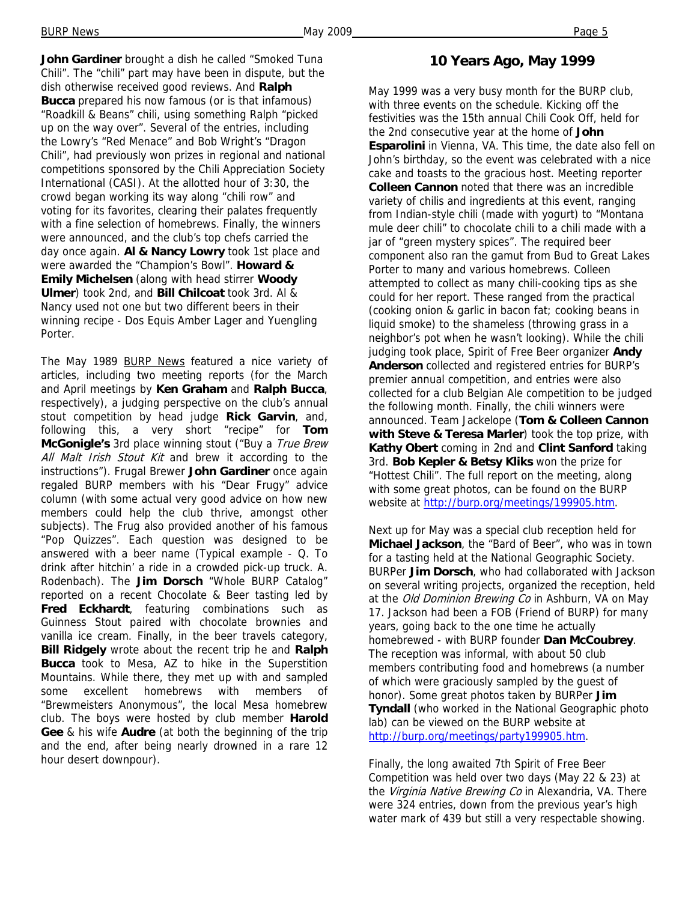**John Gardiner** brought a dish he called "Smoked Tuna Chili". The "chili" part may have been in dispute, but the dish otherwise received good reviews. And **Ralph Bucca** prepared his now famous (or is that infamous) "Roadkill & Beans" chili, using something Ralph "picked up on the way over". Several of the entries, including the Lowry's "Red Menace" and Bob Wright's "Dragon Chili", had previously won prizes in regional and national competitions sponsored by the Chili Appreciation Society International (CASI). At the allotted hour of 3:30, the crowd began working its way along "chili row" and voting for its favorites, clearing their palates frequently with a fine selection of homebrews. Finally, the winners were announced, and the club's top chefs carried the day once again. **Al & Nancy Lowry** took 1st place and were awarded the "Champion's Bowl". **Howard & Emily Michelsen** (along with head stirrer **Woody Ulmer**) took 2nd, and **Bill Chilcoat** took 3rd. Al & Nancy used not one but two different beers in their winning recipe - Dos Equis Amber Lager and Yuengling Porter.

The May 1989 **BURP News** featured a nice variety of articles, including two meeting reports (for the March and April meetings by **Ken Graham** and **Ralph Bucca**, respectively), a judging perspective on the club's annual stout competition by head judge **Rick Garvin**, and, following this, a very short "recipe" for **Tom McGonigle's** 3rd place winning stout ("Buy a True Brew All Malt Irish Stout Kit and brew it according to the instructions"). Frugal Brewer **John Gardiner** once again regaled BURP members with his "Dear Frugy" advice column (with some actual very good advice on how new members could help the club thrive, amongst other subjects). The Frug also provided another of his famous "Pop Quizzes". Each question was designed to be answered with a beer name (Typical example - Q. To drink after hitchin' a ride in a crowded pick-up truck. A. Rodenbach). The **Jim Dorsch** "Whole BURP Catalog" reported on a recent Chocolate & Beer tasting led by **Fred Eckhardt**, featuring combinations such as Guinness Stout paired with chocolate brownies and vanilla ice cream. Finally, in the beer travels category, **Bill Ridgely** wrote about the recent trip he and **Ralph Bucca** took to Mesa, AZ to hike in the Superstition Mountains. While there, they met up with and sampled some excellent homebrews with members of "Brewmeisters Anonymous", the local Mesa homebrew club. The boys were hosted by club member **Harold Gee** & his wife **Audre** (at both the beginning of the trip and the end, after being nearly drowned in a rare 12 hour desert downpour).

#### **10 Years Ago, May 1999**

May 1999 was a very busy month for the BURP club, with three events on the schedule. Kicking off the festivities was the 15th annual Chili Cook Off, held for the 2nd consecutive year at the home of **John Esparolini** in Vienna, VA. This time, the date also fell on John's birthday, so the event was celebrated with a nice cake and toasts to the gracious host. Meeting reporter **Colleen Cannon** noted that there was an incredible variety of chilis and ingredients at this event, ranging from Indian-style chili (made with yogurt) to "Montana mule deer chili" to chocolate chili to a chili made with a jar of "green mystery spices". The required beer component also ran the gamut from Bud to Great Lakes Porter to many and various homebrews. Colleen attempted to collect as many chili-cooking tips as she could for her report. These ranged from the practical (cooking onion & garlic in bacon fat; cooking beans in liquid smoke) to the shameless (throwing grass in a neighbor's pot when he wasn't looking). While the chili judging took place, Spirit of Free Beer organizer **Andy Anderson** collected and registered entries for BURP's premier annual competition, and entries were also collected for a club Belgian Ale competition to be judged the following month. Finally, the chili winners were announced. Team Jackelope (**Tom & Colleen Cannon with Steve & Teresa Marler**) took the top prize, with **Kathy Obert** coming in 2nd and **Clint Sanford** taking 3rd. **Bob Kepler & Betsy Kliks** won the prize for "Hottest Chili". The full report on the meeting, along with some great photos, can be found on the BURP website at http://burp.org/meetings/199905.htm.

Next up for May was a special club reception held for **Michael Jackson**, the "Bard of Beer", who was in town for a tasting held at the National Geographic Society. BURPer **Jim Dorsch**, who had collaborated with Jackson on several writing projects, organized the reception, held at the Old Dominion Brewing Co in Ashburn, VA on May 17. Jackson had been a FOB (Friend of BURP) for many years, going back to the one time he actually homebrewed - with BURP founder **Dan McCoubrey**. The reception was informal, with about 50 club members contributing food and homebrews (a number of which were graciously sampled by the guest of honor). Some great photos taken by BURPer **Jim Tyndall** (who worked in the National Geographic photo lab) can be viewed on the BURP website at http://burp.org/meetings/party199905.htm.

Finally, the long awaited 7th Spirit of Free Beer Competition was held over two days (May 22 & 23) at the Virginia Native Brewing Co in Alexandria, VA. There were 324 entries, down from the previous year's high water mark of 439 but still a very respectable showing.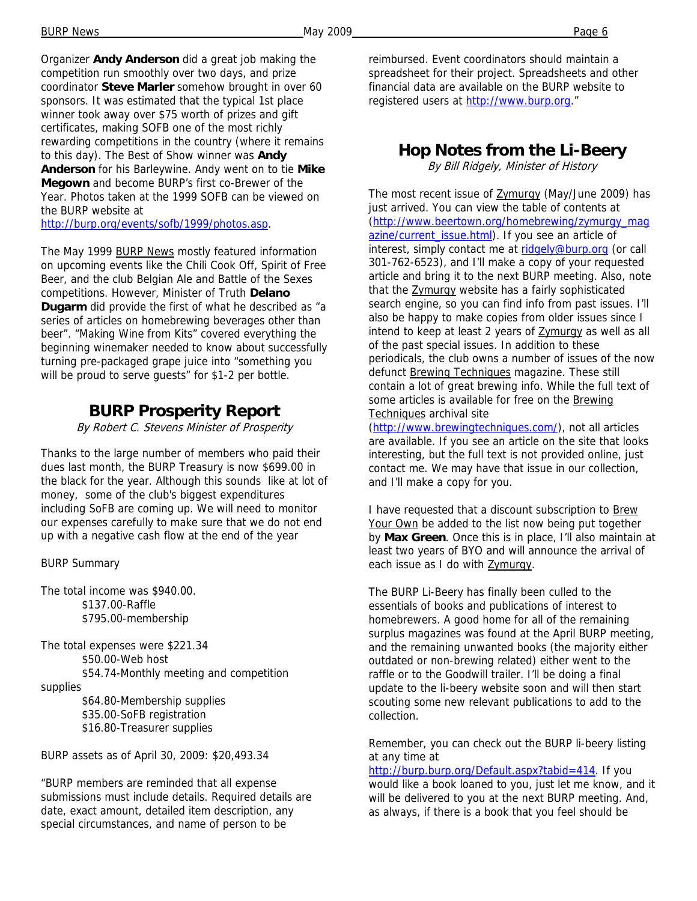Organizer **Andy Anderson** did a great job making the competition run smoothly over two days, and prize coordinator **Steve Marler** somehow brought in over 60 sponsors. It was estimated that the typical 1st place winner took away over \$75 worth of prizes and gift certificates, making SOFB one of the most richly rewarding competitions in the country (where it remains to this day). The Best of Show winner was **Andy Anderson** for his Barleywine. Andy went on to tie **Mike Megown** and become BURP's first co-Brewer of the Year. Photos taken at the 1999 SOFB can be viewed on the BURP website at

http://burp.org/events/sofb/1999/photos.asp.

The May 1999 BURP News mostly featured information on upcoming events like the Chili Cook Off, Spirit of Free Beer, and the club Belgian Ale and Battle of the Sexes competitions. However, Minister of Truth **Delano Dugarm** did provide the first of what he described as "a series of articles on homebrewing beverages other than beer". "Making Wine from Kits" covered everything the beginning winemaker needed to know about successfully turning pre-packaged grape juice into "something you will be proud to serve guests" for \$1-2 per bottle.

## **BURP Prosperity Report**

By Robert C. Stevens Minister of Prosperity

Thanks to the large number of members who paid their dues last month, the BURP Treasury is now \$699.00 in the black for the year. Although this sounds like at lot of money, some of the club's biggest expenditures including SoFB are coming up. We will need to monitor our expenses carefully to make sure that we do not end up with a negative cash flow at the end of the year

BURP Summary

The total income was \$940.00. \$137.00-Raffle \$795.00-membership

The total expenses were \$221.34 \$50.00-Web host \$54.74-Monthly meeting and competition supplies

> \$64.80-Membership supplies \$35.00-SoFB registration \$16.80-Treasurer supplies

BURP assets as of April 30, 2009: \$20,493.34

"BURP members are reminded that all expense submissions must include details. Required details are date, exact amount, detailed item description, any special circumstances, and name of person to be

reimbursed. Event coordinators should maintain a spreadsheet for their project. Spreadsheets and other financial data are available on the BURP website to registered users at http://www.burp.org."

#### **Hop Notes from the Li-Beery**

By Bill Ridgely, Minister of History

The most recent issue of **Zymurgy** (May/June 2009) has just arrived. You can view the table of contents at (http://www.beertown.org/homebrewing/zymurgy\_mag azine/current\_issue.html). If you see an article of interest, simply contact me at ridgely@burp.org (or call 301-762-6523), and I'll make a copy of your requested article and bring it to the next BURP meeting. Also, note that the Zymurgy website has a fairly sophisticated search engine, so you can find info from past issues. I'll also be happy to make copies from older issues since I intend to keep at least 2 years of **Zymurgy** as well as all of the past special issues. In addition to these periodicals, the club owns a number of issues of the now defunct Brewing Techniques magazine. These still contain a lot of great brewing info. While the full text of some articles is available for free on the Brewing Techniques archival site

(http://www.brewingtechniques.com/), not all articles are available. If you see an article on the site that looks interesting, but the full text is not provided online, just contact me. We may have that issue in our collection, and I'll make a copy for you.

I have requested that a discount subscription to Brew Your Own be added to the list now being put together by **Max Green**. Once this is in place, I'll also maintain at least two years of BYO and will announce the arrival of each issue as I do with Zymurgy.

The BURP Li-Beery has finally been culled to the essentials of books and publications of interest to homebrewers. A good home for all of the remaining surplus magazines was found at the April BURP meeting, and the remaining unwanted books (the majority either outdated or non-brewing related) either went to the raffle or to the Goodwill trailer. I'll be doing a final update to the li-beery website soon and will then start scouting some new relevant publications to add to the collection.

Remember, you can check out the BURP li-beery listing at any time at

http://burp.burp.org/Default.aspx?tabid=414. If you would like a book loaned to you, just let me know, and it will be delivered to you at the next BURP meeting. And, as always, if there is a book that you feel should be